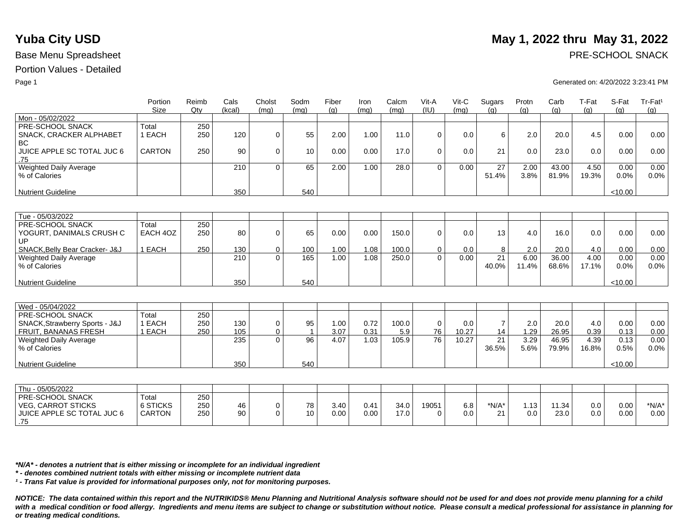.75

|                                   | Portion<br><b>Size</b> | Reimb<br>Qty | Cals<br>(kcal) | Cholst<br>(mq) | Sodm<br>(mq)   | Fiber<br>(q) | Iron<br>(mq) | Calcm<br>(mq) | Vit-A<br>(IU) | $V$ it-C<br>(mq) | Sugars<br>(q)  | Protn<br>(q) | Carb<br>(g) | T-Fat<br>(q) | S-Fat<br>(q) | Tr-Fat <sup>1</sup><br>(g) |
|-----------------------------------|------------------------|--------------|----------------|----------------|----------------|--------------|--------------|---------------|---------------|------------------|----------------|--------------|-------------|--------------|--------------|----------------------------|
| Mon - 05/02/2022                  |                        |              |                |                |                |              |              |               |               |                  |                |              |             |              |              |                            |
| PRE-SCHOOL SNACK                  | Total                  | 250          |                |                |                |              |              |               |               |                  |                |              |             |              |              |                            |
| SNACK, CRACKER ALPHABET           | 1 EACH                 | 250          | 120            | $\mathbf 0$    | 55             | 2.00         | 1.00         | 11.0          | $\Omega$      | 0.0              | 6              | 2.0          | 20.0        | 4.5          | 0.00         | 0.00                       |
| <b>BC</b>                         |                        |              |                |                |                |              |              |               |               |                  |                |              |             |              |              |                            |
| JUICE APPLE SC TOTAL JUC 6<br>.75 | <b>CARTON</b>          | 250          | 90             | $\mathbf 0$    | 10             | 0.00         | 0.00         | 17.0          | $\Omega$      | 0.0              | 21             | 0.0          | 23.0        | 0.0          | 0.00         | 0.00                       |
| Weighted Daily Average            |                        |              | 210            | $\Omega$       | 65             | 2.00         | 1.00         | 28.0          | $\Omega$      | 0.00             | 27             | 2.00         | 43.00       | 4.50         | 0.00         | 0.00                       |
| % of Calories                     |                        |              |                |                |                |              |              |               |               |                  | 51.4%          | 3.8%         | 81.9%       | 19.3%        | 0.0%         | 0.0%                       |
|                                   |                        |              |                |                |                |              |              |               |               |                  |                |              |             |              |              |                            |
| <b>Nutrient Guideline</b>         |                        |              | 350            |                | 540            |              |              |               |               |                  |                |              |             |              | < 10.00      |                            |
|                                   |                        |              |                |                |                |              |              |               |               |                  |                |              |             |              |              |                            |
| Tue - 05/03/2022                  |                        |              |                |                |                |              |              |               |               |                  |                |              |             |              |              |                            |
| PRE-SCHOOL SNACK                  | Total                  | 250          |                |                |                |              |              |               |               |                  |                |              |             |              |              |                            |
| YOGURT, DANIMALS CRUSH C          | EACH 4OZ               | 250          | 80             | $\Omega$       | 65             | 0.00         | 0.00         | 150.0         | $\Omega$      | 0.0              | 13             | 4.0          | 16.0        | 0.0          | 0.00         | 0.00                       |
| UP                                |                        |              |                |                |                |              |              |               |               |                  |                |              |             |              |              |                            |
| SNACK, Belly Bear Cracker- J&J    | 1 EACH                 | 250          | 130            | 0              | 100            | 1.00         | 1.08         | 100.0         | $\mathbf 0$   | 0.0              | 8              | 2.0          | 20.0        | 4.0          | 0.00         | 0.00                       |
| Weighted Daily Average            |                        |              | 210            | $\Omega$       | 165            | 1.00         | 1.08         | 250.0         | $\Omega$      | 0.00             | 21             | 6.00         | 36.00       | 4.00         | 0.00         | 0.00                       |
| % of Calories                     |                        |              |                |                |                |              |              |               |               |                  | 40.0%          | 11.4%        | 68.6%       | 17.1%        | 0.0%         | 0.0%                       |
|                                   |                        |              |                |                |                |              |              |               |               |                  |                |              |             |              |              |                            |
| <b>Nutrient Guideline</b>         |                        |              | 350            |                | 540            |              |              |               |               |                  |                |              |             |              | < 10.00      |                            |
|                                   |                        |              |                |                |                |              |              |               |               |                  |                |              |             |              |              |                            |
| Wed - 05/04/2022                  |                        |              |                |                |                |              |              |               |               |                  |                |              |             |              |              |                            |
| PRE-SCHOOL SNACK                  | Total                  | 250          |                |                |                |              |              |               |               |                  |                |              |             |              |              |                            |
| SNACK, Strawberry Sports - J&J    | 1 EACH                 | 250          | 130            | 0              | 95             | 1.00         | 0.72         | 100.0         | $\mathbf{0}$  | 0.0              | $\overline{7}$ | 2.0          | 20.0        | 4.0          | 0.00         | 0.00                       |
| FRUIT, BANANAS FRESH              | 1 EACH                 | 250          | 105            | $\mathbf 0$    | $\overline{1}$ | 3.07         | 0.31         | 5.9           | 76            | 10.27            | 14             | 1.29         | 26.95       | 0.39         | 0.13         | 0.00                       |
| Weighted Daily Average            |                        |              | 235            | $\Omega$       | 96             | 4.07         | 1.03         | 105.9         | 76            | 10.27            | 21             | 3.29         | 46.95       | 4.39         | 0.13         | 0.00                       |
| % of Calories                     |                        |              |                |                |                |              |              |               |               |                  | 36.5%          | 5.6%         | 79.9%       | 16.8%        | 0.5%         | 0.0%                       |
|                                   |                        |              |                |                |                |              |              |               |               |                  |                |              |             |              |              |                            |
| <b>Nutrient Guideline</b>         |                        |              | 350            |                | 540            |              |              |               |               |                  |                |              |             |              | < 10.00      |                            |
|                                   |                        |              |                |                |                |              |              |               |               |                  |                |              |             |              |              |                            |
| Thu - 05/05/2022                  |                        |              |                |                |                |              |              |               |               |                  |                |              |             |              |              |                            |
| PRE-SCHOOL SNACK                  | Total                  | 250          |                |                |                |              |              |               |               |                  |                |              |             |              |              |                            |
| <b>VEG, CARROT STICKS</b>         | 6 STICKS               | 250          | 46             | $\mathbf 0$    | 78             | 3.40         | 0.41         | 34.0          | 19051         | 6.8              | $*N/A*$        | 1.13         | 11.34       | 0.0          | 0.00         | $*N/A*$                    |
| JUICE APPLE SC TOTAL JUC 6        | <b>CARTON</b>          | 250          | 90             | $\Omega$       | 10             | 0.00         | 0.00         | 17.0          | $\Omega$      | 0.0              | 21             | 0.0          | 23.0        | 0.0          | 0.00         | 0.00                       |

*\*N/A\* - denotes a nutrient that is either missing or incomplete for an individual ingredient*

*\* - denotes combined nutrient totals with either missing or incomplete nutrient data*

*¹ - Trans Fat value is provided for informational purposes only, not for monitoring purposes.*

*NOTICE: The data contained within this report and the NUTRIKIDS® Menu Planning and Nutritional Analysis software should not be used for and does not provide menu planning for a child*  with a medical condition or food allergy. Ingredients and menu items are subject to change or substitution without notice. Please consult a medical professional for assistance in planning for *or treating medical conditions.*

## **Yuba City USD** May 1, 2022 thru May 31, 2022

Base Menu Spreadsheet **PRE-SCHOOL SNACK** 

Page 1 Generated on: 4/20/2022 3:23:41 PM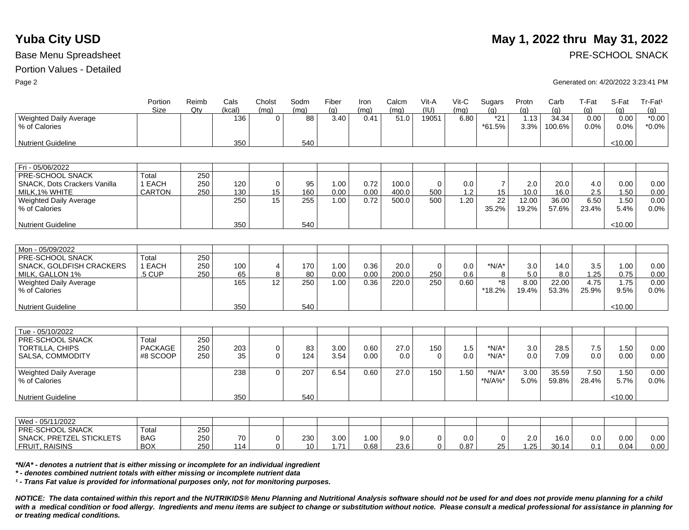SNACK, PRETZEL STICKLETS

FRUIT, RAISINS

|                                     | Portion        | Reimb  | Cals          | Cholst           | Sodm       | Fiber       | Iron         | Calcm        | Vit-A         | Vit-C        | Sugars         | Protn       | Carb         | T-Fat       | S-Fat       | Tr-Fat <sup>1</sup> |
|-------------------------------------|----------------|--------|---------------|------------------|------------|-------------|--------------|--------------|---------------|--------------|----------------|-------------|--------------|-------------|-------------|---------------------|
| <b>Weighted Daily Average</b>       | Size           | $Q$ ty | (kcal)<br>136 | (mq)<br>$\Omega$ | (mq)<br>88 | (g)<br>3.40 | (mq)<br>0.41 | (mg)<br>51.0 | (IU)<br>19051 | (mq)<br>6.80 | (q)<br>$*21$   | (g)<br>1.13 | (g)<br>34.34 | (q)<br>0.00 | (g)<br>0.00 | (q)<br>$*0.00$      |
| % of Calories                       |                |        |               |                  |            |             |              |              |               |              | $*61.5%$       | 3.3%        | 100.6%       | 0.0%        | 0.0%        | $*0.0\%$            |
|                                     |                |        |               |                  |            |             |              |              |               |              |                |             |              |             |             |                     |
| <b>Nutrient Guideline</b>           |                |        | 350           |                  | 540        |             |              |              |               |              |                |             |              |             | < 10.00     |                     |
|                                     |                |        |               |                  |            |             |              |              |               |              |                |             |              |             |             |                     |
| Fri - 05/06/2022                    |                |        |               |                  |            |             |              |              |               |              |                |             |              |             |             |                     |
| PRE-SCHOOL SNACK                    | Total          | 250    |               |                  |            |             |              |              |               |              |                |             |              |             |             |                     |
| <b>SNACK, Dots Crackers Vanilla</b> | 1 EACH         | 250    | 120           | $\mathbf 0$      | 95         | 1.00        | 0.72         | 100.0        | $\mathbf 0$   | 0.0          | $\overline{7}$ | 2.0         | 20.0         | 4.0         | 0.00        | 0.00                |
| MILK.1% WHITE                       | <b>CARTON</b>  | 250    | 130           | 15               | 160        | 0.00        | 0.00         | 400.0        | 500           | 1.2          | 15             | 10.0        | 16.0         | 2.5         | 1.50        | 0.00                |
| <b>Weighted Daily Average</b>       |                |        | 250           | 15               | 255        | 1.00        | 0.72         | 500.0        | 500           | 1.20         | 22             | 12.00       | 36.00        | 6.50        | 1.50        | 0.00                |
| % of Calories                       |                |        |               |                  |            |             |              |              |               |              | 35.2%          | 19.2%       | 57.6%        | 23.4%       | 5.4%        | 0.0%                |
| <b>Nutrient Guideline</b>           |                |        | 350           |                  | 540        |             |              |              |               |              |                |             |              |             | < 10.00     |                     |
|                                     |                |        |               |                  |            |             |              |              |               |              |                |             |              |             |             |                     |
| Mon - 05/09/2022                    |                |        |               |                  |            |             |              |              |               |              |                |             |              |             |             |                     |
| PRE-SCHOOL SNACK                    | Total          | 250    |               |                  |            |             |              |              |               |              |                |             |              |             |             |                     |
| <b>SNACK, GOLDFISH CRACKERS</b>     | 1 EACH         | 250    | 100           | $\overline{4}$   | 170        | 1.00        | 0.36         | 20.0         | $\Omega$      | 0.0          | $*N/A*$        | 3.0         | 14.0         | 3.5         | 1.00        | 0.00                |
| MILK, GALLON 1%                     | .5 CUP         | 250    | 65            | $\,8\,$          | 80         | 0.00        | 0.00         | 200.0        | 250           | 0.6          | 8              | 5.0         | 8.0          | 1.25        | 0.75        | 0.00                |
| Weighted Daily Average              |                |        | 165           | 12               | 250        | 1.00        | 0.36         | 220.0        | 250           | 0.60         | *8             | 8.00        | 22.00        | 4.75        | 1.75        | 0.00                |
| % of Calories                       |                |        |               |                  |            |             |              |              |               |              | $*18.2%$       | 19.4%       | 53.3%        | 25.9%       | 9.5%        | 0.0%                |
|                                     |                |        |               |                  |            |             |              |              |               |              |                |             |              |             |             |                     |
| <b>Nutrient Guideline</b>           |                |        | 350           |                  | 540        |             |              |              |               |              |                |             |              |             | < 10.00     |                     |
|                                     |                |        |               |                  |            |             |              |              |               |              |                |             |              |             |             |                     |
| Tue - 05/10/2022                    |                |        |               |                  |            |             |              |              |               |              |                |             |              |             |             |                     |
| PRE-SCHOOL SNACK                    | Total          | 250    |               |                  |            |             |              |              |               |              |                |             |              |             |             |                     |
| <b>TORTILLA, CHIPS</b>              | <b>PACKAGE</b> | 250    | 203           | $\mathbf 0$      | 83         | 3.00        | 0.60         | 27.0         | 150           | 1.5          | $*N/A*$        | 3.0         | 28.5         | 7.5         | 1.50        | 0.00                |
| SALSA, COMMODITY                    | #8 SCOOP       | 250    | 35            | $\Omega$         | 124        | 3.54        | 0.00         | 0.0          | $\Omega$      | 0.0          | $*N/A*$        | 0.0         | 7.09         | 0.0         | 0.00        | 0.00                |
|                                     |                |        |               |                  |            |             |              |              |               |              |                |             |              |             |             |                     |
| Weighted Daily Average              |                |        | 238           | $\Omega$         | 207        | 6.54        | 0.60         | 27.0         | 150           | 1.50         | $*N/A*$        | 3.00        | 35.59        | 7.50        | 1.50        | 0.00                |
| % of Calories                       |                |        |               |                  |            |             |              |              |               |              | *N/A%*         | 5.0%        | 59.8%        | 28.4%       | 5.7%        | 0.0%                |
| <b>Nutrient Guideline</b>           |                |        | 350           |                  | 540        |             |              |              |               |              |                |             |              |             | < 10.00     |                     |
|                                     |                |        |               |                  |            |             |              |              |               |              |                |             |              |             |             |                     |
| Wed - 05/11/2022                    |                |        |               |                  |            |             |              |              |               |              |                |             |              |             |             |                     |
| PRE-SCHOOL SNACK                    | Total          | 250    |               |                  |            |             |              |              |               |              |                |             |              |             |             |                     |

*\*N/A\* - denotes a nutrient that is either missing or incomplete for an individual ingredient*

*\* - denotes combined nutrient totals with either missing or incomplete nutrient data*

BAG BOX

*¹ - Trans Fat value is provided for informational purposes only, not for monitoring purposes.*

250 250

70 114 0  $\Omega$ 

230 10

*NOTICE: The data contained within this report and the NUTRIKIDS® Menu Planning and Nutritional Analysis software should not be used for and does not provide menu planning for a child*  with a medical condition or food allergy. Ingredients and menu items are subject to change or substitution without notice. Please consult a medical professional for assistance in planning for *or treating medical conditions.*

3.00 1.71 1.00 0.68

9.0 23.6

0 0

0.0 0.87

0 25

2.0 1.25

16.0 30.14 0.0 0.1

0.00 0.04

0.00 0.00

## **Yuba City USD** May 1, 2022 thru May 31, 2022

Base Menu Spreadsheet **PRE-SCHOOL SNACK** 

Page 2 Generated on: 4/20/2022 3:23:41 PM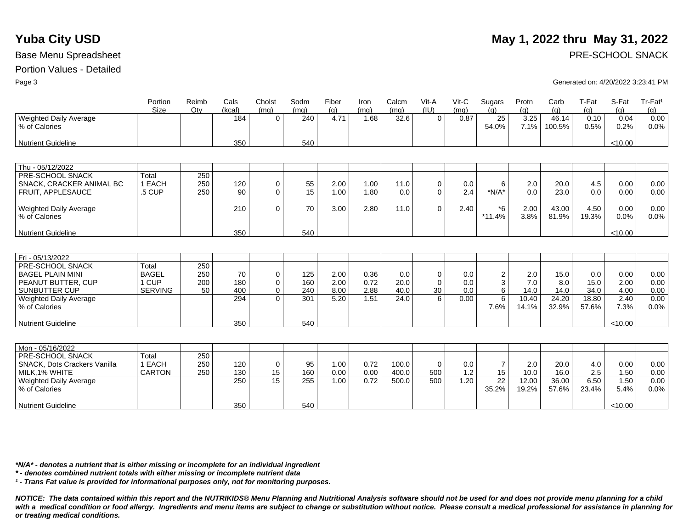|                                         | Portion<br>Size | Reimb<br>Qtv | Cals<br>(kcal) | Cholst<br>(mq) | Sodm<br>(mq) | Fiber<br>(q) | Iron<br>(mq) | Calcm<br>(mq) | Vit-A<br>(IU)  | $V$ it-C<br>(mq) | Sugars<br>(a)    | Protn<br>(q) | Carb<br>(q)     | T-Fat<br>(g)  | S-Fat<br>(q) | Tr-Fat <sup>1</sup><br>(g) |
|-----------------------------------------|-----------------|--------------|----------------|----------------|--------------|--------------|--------------|---------------|----------------|------------------|------------------|--------------|-----------------|---------------|--------------|----------------------------|
| Weighted Daily Average<br>% of Calories |                 |              | 184            | $\Omega$       | 240          | 4.71         | 1.68         | 32.6          | $\overline{0}$ | 0.87             | 25<br>54.0%      | 3.25<br>7.1% | 46.14<br>100.5% | 0.10<br>0.5%  | 0.04<br>0.2% | 0.00<br>0.0%               |
| <b>Nutrient Guideline</b>               |                 |              | 350            |                | 540          |              |              |               |                |                  |                  |              |                 |               | < 10.00      |                            |
|                                         |                 |              |                |                |              |              |              |               |                |                  |                  |              |                 |               |              |                            |
| Thu - 05/12/2022                        |                 |              |                |                |              |              |              |               |                |                  |                  |              |                 |               |              |                            |
| PRE-SCHOOL SNACK                        | Total           | 250          |                |                |              |              |              |               |                |                  |                  |              |                 |               |              |                            |
| SNACK, CRACKER ANIMAL BC                | 1 EACH          | 250          | 120            | $\mathbf 0$    | 55           | 2.00         | 1.00         | 11.0          | $\mathbf 0$    | 0.0              | 6                | 2.0          | 20.0            | 4.5           | 0.00         | 0.00                       |
| FRUIT, APPLESAUCE                       | .5 CUP          | 250          | 90             | $\Omega$       | 15           | 1.00         | 1.80         | 0.0           | $\Omega$       | 2.4              | $*N/A*$          | 0.0          | 23.0            | 0.0           | 0.00         | 0.00                       |
| Weighted Daily Average<br>% of Calories |                 |              | 210            | $\Omega$       | 70           | 3.00         | 2.80         | 11.0          | $\Omega$       | 2.40             | $*6$<br>$*11.4%$ | 2.00<br>3.8% | 43.00<br>81.9%  | 4.50<br>19.3% | 0.00<br>0.0% | 0.00<br>0.0%               |
| <b>Nutrient Guideline</b>               |                 |              | 350            |                | 540          |              |              |               |                |                  |                  |              |                 |               | < 10.00      |                            |
|                                         |                 |              |                |                |              |              |              |               |                |                  |                  |              |                 |               |              |                            |
| Fri - 05/13/2022                        |                 |              |                |                |              |              |              |               |                |                  |                  |              |                 |               |              |                            |
| PRE-SCHOOL SNACK                        | Total           | 250          |                |                |              |              |              |               |                |                  |                  |              |                 |               |              |                            |
| <b>BAGEL PLAIN MINI</b>                 | <b>BAGEL</b>    | 250          | 70             | $\mathbf 0$    | 125          | 2.00         | 0.36         | 0.0           | $\mathbf 0$    | 0.0              | $\overline{c}$   | 2.0          | 15.0            | 0.0           | 0.00         | 0.00                       |
| PEANUT BUTTER, CUP                      | 1 CUP           | 200          | 180            | $\mathbf 0$    | 160          | 2.00         | 0.72         | 20.0          | $\mathbf 0$    | 0.0              | $\overline{3}$   | 7.0          | 8.0             | 15.0          | 2.00         | 0.00                       |
| <b>SUNBUTTER CUP</b>                    | <b>SERVING</b>  | 50           | 400            | $\Omega$       | 240          | 8.00         | 2.88         | 40.0          | 30             | 0.0              | 6                | 14.0         | 14.0            | 34.0          | 4.00         | 0.00                       |
| Weighted Daily Average                  |                 |              | 294            | $\Omega$       | 301          | 5.20         | 1.51         | 24.0          | 6              | 0.00             | 6                | 10.40        | 24.20           | 18.80         | 2.40         | 0.00                       |
| % of Calories                           |                 |              |                |                |              |              |              |               |                |                  | 7.6%             | 14.1%        | 32.9%           | 57.6%         | 7.3%         | 0.0%                       |
| <b>Nutrient Guideline</b>               |                 |              | 350            |                | 540          |              |              |               |                |                  |                  |              |                 |               | < 10.00      |                            |
|                                         |                 |              |                |                |              |              |              |               |                |                  |                  |              |                 |               |              |                            |
| Mon - 05/16/2022                        |                 |              |                |                |              |              |              |               |                |                  |                  |              |                 |               |              |                            |
| PRE-SCHOOL SNACK                        | Total           | 250          |                |                |              |              |              |               |                |                  |                  |              |                 |               |              |                            |
| <b>SNACK, Dots Crackers Vanilla</b>     | 1 EACH          | 250          | 120            | $\mathbf 0$    | 95           | 1.00         | 0.72         | 100.0         | $\mathbf 0$    | 0.0              | $\overline{7}$   | 2.0          | 20.0            | 4.0           | 0.00         | 0.00                       |
| MILK.1% WHITE                           | <b>CARTON</b>   | 250          | 130            | 15             | 160          | 0.00         | 0.00         | 400.0         | 500            | 1.2              | 15               | 10.0         | 16.0            | 2.5           | 1.50         | 0.00                       |
| Weighted Daily Average                  |                 |              | 250            | 15             | 255          | 1.00         | 0.72         | 500.0         | 500            | 1.20             | 22               | 12.00        | 36.00           | 6.50          | 1.50         | 0.00                       |
| % of Calories                           |                 |              |                |                |              |              |              |               |                |                  | 35.2%            | 19.2%        | 57.6%           | 23.4%         | 5.4%         | 0.0%                       |
| <b>Nutrient Guideline</b>               |                 |              | 350            |                | 540          |              |              |               |                |                  |                  |              |                 |               | < 10.00      |                            |

*\*N/A\* - denotes a nutrient that is either missing or incomplete for an individual ingredient*

*\* - denotes combined nutrient totals with either missing or incomplete nutrient data*

*¹ - Trans Fat value is provided for informational purposes only, not for monitoring purposes.*

*NOTICE: The data contained within this report and the NUTRIKIDS® Menu Planning and Nutritional Analysis software should not be used for and does not provide menu planning for a child*  with a medical condition or food allergy. Ingredients and menu items are subject to change or substitution without notice. Please consult a medical professional for assistance in planning for *or treating medical conditions.*

## **Yuba City USD** May 1, 2022 thru May 31, 2022

Base Menu Spreadsheet **PRE-SCHOOL SNACK** 

Page 3 Generated on: 4/20/2022 3:23:41 PM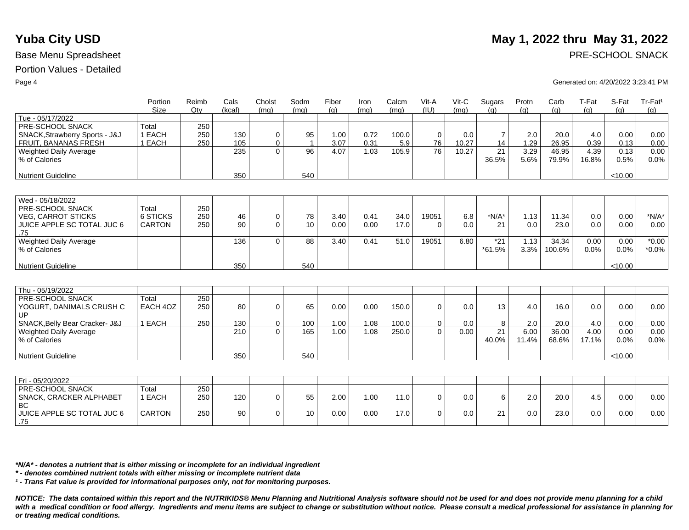|                                                                                    | Portion<br><b>Size</b>                    | Reimb<br>Qtv      | Cals<br>(kcal) | Cholst<br>(ma)             | Sodm<br>(mq)       | Fiber<br>(q) | Iron<br>(mq) | Calcm<br>(mq) | Vit-A<br>(IU)     | Vit-C<br>(mq) | Sugars<br>(q)        | Protn<br>(q)  | Carb<br>(q)     | T-Fat<br>(a)  | S-Fat<br>(q) | Tr-Fat <sup>1</sup><br>(g) |
|------------------------------------------------------------------------------------|-------------------------------------------|-------------------|----------------|----------------------------|--------------------|--------------|--------------|---------------|-------------------|---------------|----------------------|---------------|-----------------|---------------|--------------|----------------------------|
| Tue - 05/17/2022                                                                   |                                           |                   |                |                            |                    |              |              |               |                   |               |                      |               |                 |               |              |                            |
| PRE-SCHOOL SNACK<br>SNACK, Strawberry Sports - J&J<br><b>FRUIT, BANANAS FRESH</b>  | Total<br>1 EACH<br>1 EACH                 | 250<br>250<br>250 | 130<br>105     | $\mathbf 0$<br>$\mathbf 0$ | 95<br>$\mathbf{1}$ | 1.00<br>3.07 | 0.72<br>0.31 | 100.0<br>5.9  | $\mathbf 0$<br>76 | 0.0<br>10.27  | $\overline{7}$<br>14 | 2.0<br>1.29   | 20.0<br>26.95   | 4.0<br>0.39   | 0.00<br>0.13 | 0.00<br>0.00               |
| <b>Weighted Daily Average</b><br>% of Calories                                     |                                           |                   | 235            | $\Omega$                   | 96                 | 4.07         | 1.03         | 105.9         | 76                | 10.27         | 21<br>36.5%          | 3.29<br>5.6%  | 46.95<br>79.9%  | 4.39<br>16.8% | 0.13<br>0.5% | 0.00<br>0.0%               |
| <b>Nutrient Guideline</b>                                                          |                                           |                   | 350            |                            | 540                |              |              |               |                   |               |                      |               |                 |               | < 10.00      |                            |
|                                                                                    |                                           |                   |                |                            |                    |              |              |               |                   |               |                      |               |                 |               |              |                            |
| Wed - 05/18/2022                                                                   |                                           |                   |                |                            |                    |              |              |               |                   |               |                      |               |                 |               |              |                            |
| PRE-SCHOOL SNACK<br><b>VEG, CARROT STICKS</b><br>JUICE APPLE SC TOTAL JUC 6<br>.75 | Total<br><b>6 STICKS</b><br><b>CARTON</b> | 250<br>250<br>250 | 46<br>90       | 0<br>$\mathbf 0$           | 78<br>10           | 3.40<br>0.00 | 0.41<br>0.00 | 34.0<br>17.0  | 19051<br>$\Omega$ | 6.8<br>0.0    | $*N/A*$<br>21        | 1.13<br>0.0   | 11.34<br>23.0   | 0.0<br>0.0    | 0.00<br>0.00 | $*N/A*$<br>0.00            |
| Weighted Daily Average<br>% of Calories                                            |                                           |                   | 136            | $\Omega$                   | 88                 | 3.40         | 0.41         | 51.0          | 19051             | 6.80          | $*21$<br>$*61.5%$    | 1.13<br>3.3%  | 34.34<br>100.6% | 0.00<br>0.0%  | 0.00<br>0.0% | $*0.00$<br>$*0.0\%$        |
| <b>Nutrient Guideline</b>                                                          |                                           |                   | 350            |                            | 540                |              |              |               |                   |               |                      |               |                 |               | < 10.00      |                            |
|                                                                                    |                                           |                   |                |                            |                    |              |              |               |                   |               |                      |               |                 |               |              |                            |
| Thu - 05/19/2022                                                                   |                                           |                   |                |                            |                    |              |              |               |                   |               |                      |               |                 |               |              |                            |
| PRE-SCHOOL SNACK<br>YOGURT, DANIMALS CRUSH C<br>UP                                 | Total<br>EACH 4OZ                         | 250<br>250        | 80             | $\mathbf 0$                | 65                 | 0.00         | 0.00         | 150.0         | $\Omega$          | 0.0           | 13                   | 4.0           | 16.0            | 0.0           | 0.00         | 0.00                       |
| SNACK.Belly Bear Cracker- J&J                                                      | 1 EACH                                    | 250               | 130            | $\mathbf 0$                | 100                | 1.00         | 1.08         | 100.0         | $\Omega$          | 0.0           | 8                    | 2.0           | 20.0            | 4.0           | 0.00         | 0.00                       |
| Weighted Daily Average<br>% of Calories                                            |                                           |                   | 210            | $\Omega$                   | 165                | 1.00         | 1.08         | 250.0         | $\Omega$          | 0.00          | 21<br>40.0%          | 6.00<br>11.4% | 36.00<br>68.6%  | 4.00<br>17.1% | 0.00<br>0.0% | 0.00<br>0.0%               |
| <b>Nutrient Guideline</b>                                                          |                                           |                   | 350            |                            | 540                |              |              |               |                   |               |                      |               |                 |               | < 10.00      |                            |
|                                                                                    |                                           |                   |                |                            |                    |              |              |               |                   |               |                      |               |                 |               |              |                            |
| Fri - 05/20/2022                                                                   |                                           |                   |                |                            |                    |              |              |               |                   |               |                      |               |                 |               |              |                            |
| PRE-SCHOOL SNACK<br>SNACK, CRACKER ALPHABET<br><b>BC</b>                           | Total<br>1 EACH                           | 250<br>250        | 120            | $\mathbf 0$                | 55                 | 2.00         | 1.00         | 11.0          | $\Omega$          | 0.0           | 6                    | 2.0           | 20.0            | 4.5           | 0.00         | 0.00                       |
| JUICE APPLE SC TOTAL JUC 6<br>.75                                                  | <b>CARTON</b>                             | 250               | 90             | 0                          | 10                 | 0.00         | 0.00         | 17.0          | $\Omega$          | 0.0           | 21                   | 0.0           | 23.0            | 0.0           | 0.00         | 0.00                       |

*\*N/A\* - denotes a nutrient that is either missing or incomplete for an individual ingredient*

*\* - denotes combined nutrient totals with either missing or incomplete nutrient data*

*¹ - Trans Fat value is provided for informational purposes only, not for monitoring purposes.*

*NOTICE: The data contained within this report and the NUTRIKIDS® Menu Planning and Nutritional Analysis software should not be used for and does not provide menu planning for a child*  with a medical condition or food allergy. Ingredients and menu items are subject to change or substitution without notice. Please consult a medical professional for assistance in planning for *or treating medical conditions.*

## **Yuba City USD** May 1, 2022 thru May 31, 2022

Base Menu Spreadsheet **PRE-SCHOOL SNACK** 

### Page 4 Generated on: 4/20/2022 3:23:41 PM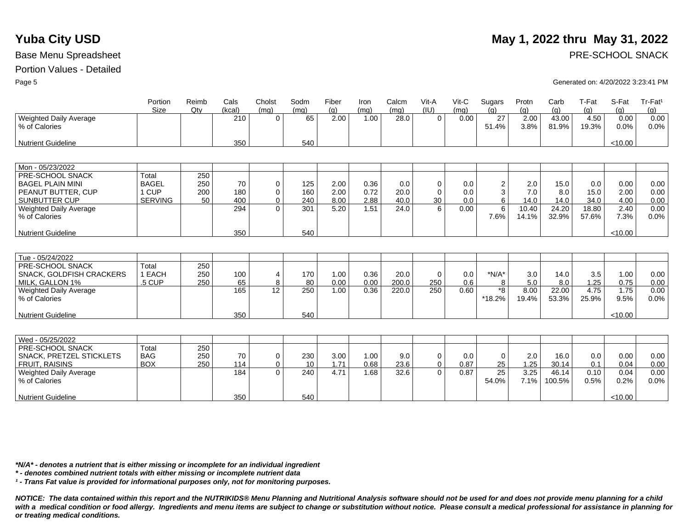|                                 | Portion<br>Size | Reimb<br>Qtv | Cals<br>(kcal) | Cholst<br>(mq) | Sodm<br>(mg) | Fiber<br>(q) | Iron<br>(mg) | Calcm<br>(mq) | Vit-A<br>(IU) | $V$ it-C<br>(mq) | Sugars<br>(q)   | Protn<br>(q) | Carb<br>(g) | T-Fat<br>(g) | S-Fat<br>(g) | Tr-Fat <sup>1</sup><br>(g) |
|---------------------------------|-----------------|--------------|----------------|----------------|--------------|--------------|--------------|---------------|---------------|------------------|-----------------|--------------|-------------|--------------|--------------|----------------------------|
| Weighted Daily Average          |                 |              | 210            | $\Omega$       | 65           | 2.00         | 1.00         | 28.0          | $\Omega$      | 0.00             | 27              | 2.00         | 43.00       | 4.50         | 0.00         | 0.00                       |
| % of Calories                   |                 |              |                |                |              |              |              |               |               |                  | 51.4%           | 3.8%         | 81.9%       | 19.3%        | 0.0%         | 0.0%                       |
|                                 |                 |              |                |                |              |              |              |               |               |                  |                 |              |             |              |              |                            |
| <b>Nutrient Guideline</b>       |                 |              | 350            |                | 540          |              |              |               |               |                  |                 |              |             |              | < 10.00      |                            |
|                                 |                 |              |                |                |              |              |              |               |               |                  |                 |              |             |              |              |                            |
| Mon - 05/23/2022                |                 |              |                |                |              |              |              |               |               |                  |                 |              |             |              |              |                            |
| PRE-SCHOOL SNACK                | Total           | 250          |                |                |              |              |              |               |               |                  |                 |              |             |              |              |                            |
| <b>BAGEL PLAIN MINI</b>         | <b>BAGEL</b>    | 250          | 70             | 0              | 125          | 2.00         | 0.36         | 0.0           | $\mathbf 0$   | 0.0              | $\overline{c}$  | 2.0          | 15.0        | 0.0          | 0.00         | 0.00                       |
| PEANUT BUTTER, CUP              | 1 CUP           | 200          | 180            | 0              | 160          | 2.00         | 0.72         | 20.0          | $\Omega$      | 0.0              | 3               | 7.0          | 8.0         | 15.0         | 2.00         | 0.00                       |
| <b>SUNBUTTER CUP</b>            | <b>SERVING</b>  | 50           | 400            | $\mathbf 0$    | 240          | 8.00         | 2.88         | 40.0          | 30            | 0.0              | 6               | 14.0         | 14.0        | 34.0         | 4.00         | 0.00                       |
| Weighted Daily Average          |                 |              | 294            | $\Omega$       | 301          | 5.20         | 1.51         | 24.0          | 6             | 0.00             | 6               | 10.40        | 24.20       | 18.80        | 2.40         | 0.00                       |
| % of Calories                   |                 |              |                |                |              |              |              |               |               |                  | 7.6%            | 14.1%        | 32.9%       | 57.6%        | 7.3%         | 0.0%                       |
|                                 |                 |              |                |                |              |              |              |               |               |                  |                 |              |             |              |              |                            |
| <b>Nutrient Guideline</b>       |                 |              | 350            |                | 540          |              |              |               |               |                  |                 |              |             |              | < 10.00      |                            |
|                                 |                 |              |                |                |              |              |              |               |               |                  |                 |              |             |              |              |                            |
| Tue - 05/24/2022                |                 |              |                |                |              |              |              |               |               |                  |                 |              |             |              |              |                            |
| PRE-SCHOOL SNACK                | Total           | 250          |                |                |              |              |              |               |               |                  |                 |              |             |              |              |                            |
| SNACK, GOLDFISH CRACKERS        | 1 EACH          | 250          | 100            | 4              | 170          | 1.00         | 0.36         | 20.0          | $\Omega$      | 0.0              | $*N/A*$         | 3.0          | 14.0        | 3.5          | 1.00         | 0.00                       |
| MILK. GALLON 1%                 | 5 CUP           | 250          | 65             | 8              | 80           | 0.00         | 0.00         | 200.0         | 250           | 0.6              | 8               | 5.0          | 8.0         | 1.25         | 0.75         | 0.00                       |
| Weighted Daily Average          |                 |              | 165            | 12             | 250          | 1.00         | 0.36         | 220.0         | 250           | 0.60             | *8              | 8.00         | 22.00       | 4.75         | 1.75         | 0.00                       |
| % of Calories                   |                 |              |                |                |              |              |              |               |               |                  | *18.2%          | 19.4%        | 53.3%       | 25.9%        | 9.5%         | 0.0%                       |
|                                 |                 |              |                |                |              |              |              |               |               |                  |                 |              |             |              |              |                            |
| <b>Nutrient Guideline</b>       |                 |              | 350            |                | 540          |              |              |               |               |                  |                 |              |             |              | < 10.00      |                            |
|                                 |                 |              |                |                |              |              |              |               |               |                  |                 |              |             |              |              |                            |
| Wed - 05/25/2022                |                 |              |                |                |              |              |              |               |               |                  |                 |              |             |              |              |                            |
| PRE-SCHOOL SNACK                | Total           | 250          |                |                |              |              |              |               |               |                  |                 |              |             |              |              |                            |
| <b>SNACK, PRETZEL STICKLETS</b> | <b>BAG</b>      | 250          | 70             | 0              | 230          | 3.00         | 1.00         | 9.0           | $\mathbf 0$   | 0.0              | $\mathbf 0$     | 2.0          | 16.0        | 0.0          | 0.00         | 0.00                       |
| <b>FRUIT, RAISINS</b>           | <b>BOX</b>      | 250          | 114            | 0              | 10           | 1.71         | 0.68         | 23.6          | $\mathbf 0$   | 0.87             | 25              | 1.25         | 30.14       | 0.1          | 0.04         | 0.00                       |
| Weighted Daily Average          |                 |              | 184            | $\Omega$       | 240          | 4.71         | 1.68         | 32.6          | $\Omega$      | 0.87             | $\overline{25}$ | 3.25         | 46.14       | 0.10         | 0.04         | 0.00                       |
| % of Calories                   |                 |              |                |                |              |              |              |               |               |                  | 54.0%           | 7.1%         | 100.5%      | 0.5%         | 0.2%         | 0.0%                       |
|                                 |                 |              |                |                |              |              |              |               |               |                  |                 |              |             |              |              |                            |
| <b>Nutrient Guideline</b>       |                 |              | 350            |                | 540          |              |              |               |               |                  |                 |              |             |              | < 10.00      |                            |

*\*N/A\* - denotes a nutrient that is either missing or incomplete for an individual ingredient*

*\* - denotes combined nutrient totals with either missing or incomplete nutrient data*

*¹ - Trans Fat value is provided for informational purposes only, not for monitoring purposes.*

*NOTICE: The data contained within this report and the NUTRIKIDS® Menu Planning and Nutritional Analysis software should not be used for and does not provide menu planning for a child*  with a medical condition or food allergy. Ingredients and menu items are subject to change or substitution without notice. Please consult a medical professional for assistance in planning for *or treating medical conditions.*

## **Yuba City USD** May 1, 2022 thru May 31, 2022

Base Menu Spreadsheet **PRE-SCHOOL SNACK** 

Page 5 Generated on: 4/20/2022 3:23:41 PM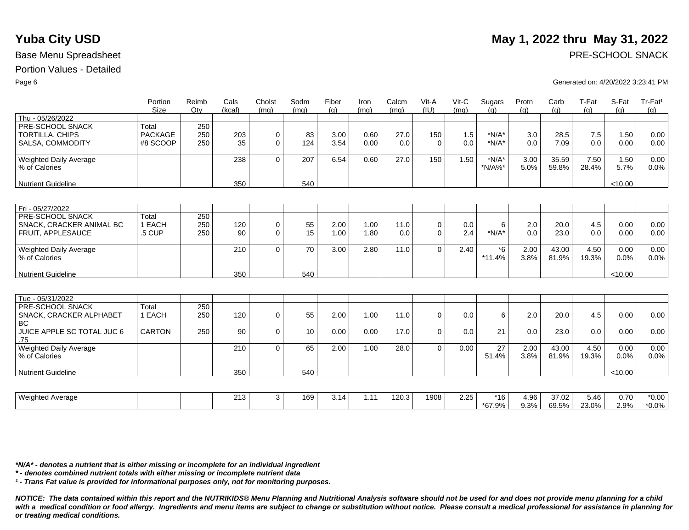# **Yuba City USD** May 1, 2022 thru May 31, 2022

Base Menu Spreadsheet **PRE-SCHOOL SNACK** 

### Page 6 Generated on: 4/20/2022 3:23:41 PM

|                                     | Portion<br><b>Size</b> | Reimb<br>Qtv | Cals<br>(kcal) | Cholst                | Sodm            | Fiber        | Iron         | Calcm       | Vit-A<br>(IU)   | Vit-C      | Sugars   | Protn      | Carb         | T-Fat      | S-Fat        | Tr-Fat <sup>1</sup> |
|-------------------------------------|------------------------|--------------|----------------|-----------------------|-----------------|--------------|--------------|-------------|-----------------|------------|----------|------------|--------------|------------|--------------|---------------------|
| Thu - 05/26/2022                    |                        |              |                | (mq)                  | (mq)            | (q)          | (mq)         | (mq)        |                 | (mq)       | (a)      | (q)        | (q)          | (q)        | (q)          | (g)                 |
| PRE-SCHOOL SNACK                    | Total                  |              |                |                       |                 |              |              |             |                 |            |          |            |              |            |              |                     |
|                                     | <b>PACKAGE</b>         | 250          |                |                       |                 |              |              |             |                 |            | $*N/A*$  |            |              |            |              |                     |
| TORTILLA, CHIPS<br>SALSA, COMMODITY | #8 SCOOP               | 250<br>250   | 203<br>35      | $\pmb{0}$<br>$\Omega$ | 83<br>124       | 3.00<br>3.54 | 0.60<br>0.00 | 27.0<br>0.0 | 150<br>$\Omega$ | 1.5<br>0.0 | $*N/A*$  | 3.0<br>0.0 | 28.5<br>7.09 | 7.5<br>0.0 | 1.50<br>0.00 | 0.00<br>0.00        |
|                                     |                        |              |                |                       |                 |              |              |             |                 |            |          |            |              |            |              |                     |
| Weighted Daily Average              |                        |              | 238            | $\Omega$              | 207             | 6.54         | 0.60         | 27.0        | 150             | 1.50       | $*N/A*$  | 3.00       | 35.59        | 7.50       | 1.50         | 0.00                |
| % of Calories                       |                        |              |                |                       |                 |              |              |             |                 |            | *N/A%*   | 5.0%       | 59.8%        | 28.4%      | 5.7%         | 0.0%                |
| <b>Nutrient Guideline</b>           |                        |              | 350            |                       | 540             |              |              |             |                 |            |          |            |              |            | < 10.00      |                     |
|                                     |                        |              |                |                       |                 |              |              |             |                 |            |          |            |              |            |              |                     |
| Fri - 05/27/2022                    |                        |              |                |                       |                 |              |              |             |                 |            |          |            |              |            |              |                     |
| PRE-SCHOOL SNACK                    | Total                  | 250          |                |                       |                 |              |              |             |                 |            |          |            |              |            |              |                     |
| SNACK, CRACKER ANIMAL BC            | 1 EACH                 | 250          | 120            | $\mathbf 0$           | 55              | 2.00         | 1.00         | 11.0        | $\mathbf 0$     | 0.0        | 6        | 2.0        | 20.0         | 4.5        | 0.00         | 0.00                |
| FRUIT, APPLESAUCE                   | .5 CUP                 | 250          | 90             | $\mathbf 0$           | 15              | 1.00         | 1.80         | 0.0         | $\mathbf 0$     | 2.4        | $*N/A*$  | 0.0        | 23.0         | 0.0        | 0.00         | 0.00                |
|                                     |                        |              |                |                       |                 |              |              |             |                 |            |          |            |              |            |              |                     |
| Weighted Daily Average              |                        |              | 210            | $\Omega$              | 70              | 3.00         | 2.80         | 11.0        | $\Omega$        | 2.40       | $*6$     | 2.00       | 43.00        | 4.50       | 0.00         | 0.00                |
| % of Calories                       |                        |              |                |                       |                 |              |              |             |                 |            | $*11.4%$ | 3.8%       | 81.9%        | 19.3%      | 0.0%         | 0.0%                |
| <b>Nutrient Guideline</b>           |                        |              | 350            |                       | 540             |              |              |             |                 |            |          |            |              |            | < 10.00      |                     |
|                                     |                        |              |                |                       |                 |              |              |             |                 |            |          |            |              |            |              |                     |
| Tue - 05/31/2022                    |                        |              |                |                       |                 |              |              |             |                 |            |          |            |              |            |              |                     |
| PRE-SCHOOL SNACK                    | Total                  | 250          |                |                       |                 |              |              |             |                 |            |          |            |              |            |              |                     |
| <b>SNACK, CRACKER ALPHABET</b>      | 1 EACH                 | 250          | 120            | $\mathbf 0$           | 55              | 2.00         | 1.00         | 11.0        | $\pmb{0}$       | 0.0        | 6        | 2.0        | 20.0         | 4.5        | 0.00         | 0.00                |
| BC                                  |                        |              |                |                       |                 |              |              |             |                 |            |          |            |              |            |              |                     |
| JUICE APPLE SC TOTAL JUC 6          | <b>CARTON</b>          | 250          | 90             | $\Omega$              | 10 <sup>1</sup> | 0.00         | 0.00         | 17.0        | $\mathbf 0$     | 0.0        | 21       | 0.0        | 23.0         | 0.0        | 0.00         | 0.00                |
| .75                                 |                        |              |                |                       |                 |              |              |             |                 |            |          |            |              |            |              |                     |
| Weighted Daily Average              |                        |              | 210            | $\Omega$              | 65              | 2.00         | 1.00         | 28.0        | $\Omega$        | 0.00       | 27       | 2.00       | 43.00        | 4.50       | 0.00         | 0.00                |
| % of Calories                       |                        |              |                |                       |                 |              |              |             |                 |            | 51.4%    | 3.8%       | 81.9%        | 19.3%      | 0.0%         | 0.0%                |
| <b>Nutrient Guideline</b>           |                        |              | 350            |                       | 540             |              |              |             |                 |            |          |            |              |            | < 10.00      |                     |
|                                     |                        |              |                |                       |                 |              |              |             |                 |            |          |            |              |            |              |                     |
|                                     |                        |              |                |                       |                 |              |              |             |                 |            |          |            |              |            |              |                     |
| Weighted Average                    |                        |              | 213            | 3                     | 169             | 3.14         | 1.11         | 120.3       | 1908            | 2.25       | $*16$    | 4.96       | 37.02        | 5.46       | 0.70         | $*0.00$             |
|                                     |                        |              |                |                       |                 |              |              |             |                 |            | *67.9%   | 9.3%       | 69.5%        | 23.0%      | 2.9%         | $*0.0\%$            |

*\*N/A\* - denotes a nutrient that is either missing or incomplete for an individual ingredient*

*\* - denotes combined nutrient totals with either missing or incomplete nutrient data*

*¹ - Trans Fat value is provided for informational purposes only, not for monitoring purposes.*

*NOTICE: The data contained within this report and the NUTRIKIDS® Menu Planning and Nutritional Analysis software should not be used for and does not provide menu planning for a child*  with a medical condition or food allergy. Ingredients and menu items are subject to change or substitution without notice. Please consult a medical professional for assistance in planning for *or treating medical conditions.*